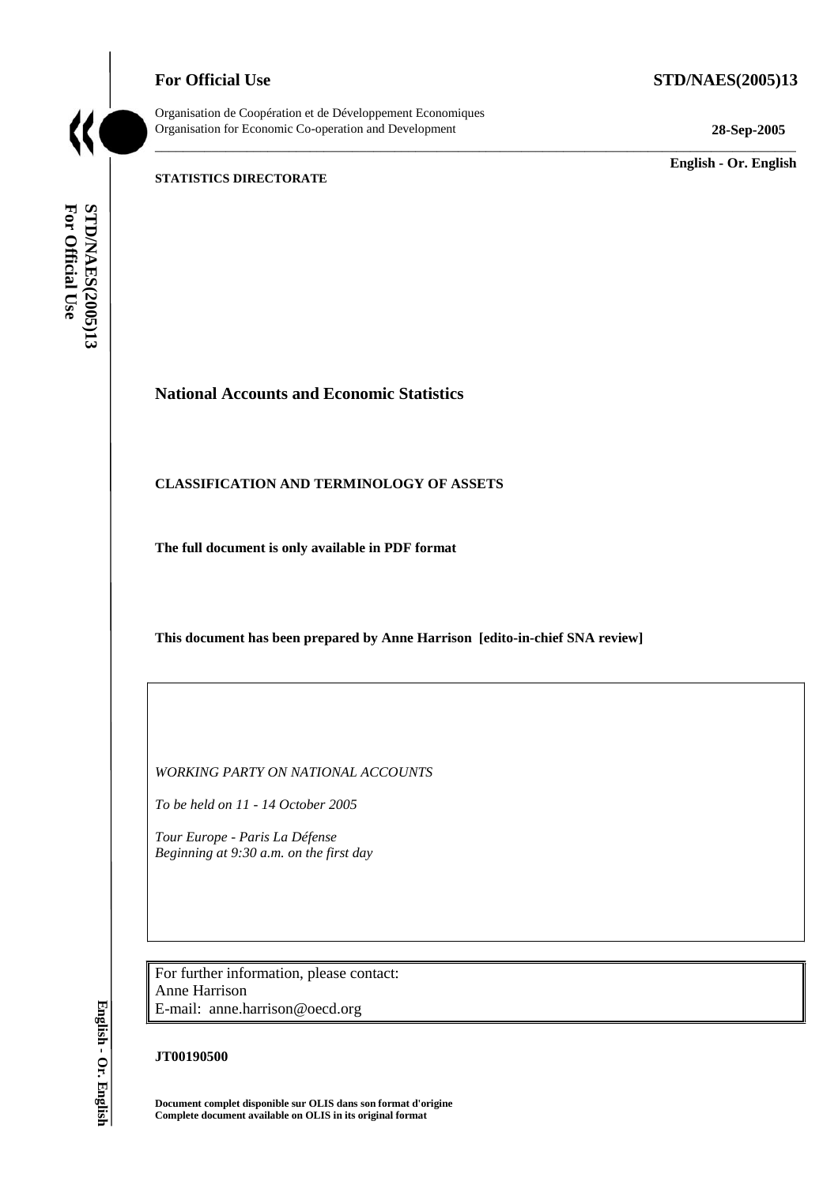## **For Official Use STD/NAES(2005)13**



Organisation de Coopération et de Développement Economiques Organisation for Economic Co-operation and Development **28-Sep-2005** 

\_\_\_\_\_\_\_\_\_\_\_\_\_\_\_\_\_\_\_\_\_\_\_\_\_\_\_\_\_\_\_\_\_\_\_\_\_\_\_\_\_\_\_\_\_\_\_\_\_\_\_\_\_\_\_\_\_\_\_\_\_\_\_\_\_\_\_\_\_\_\_\_\_\_\_\_\_\_\_\_\_\_\_\_\_\_\_\_\_\_\_

\_\_\_\_\_\_\_\_\_\_\_\_\_ **English - Or. English** 

#### **STATISTICS DIRECTORATE**

For Official Use STD/NAES(2005)13 **For Official Use STD/NAES(2005)13**

## **National Accounts and Economic Statistics**

### **CLASSIFICATION AND TERMINOLOGY OF ASSETS**

**The full document is only available in PDF format** 

**This document has been prepared by Anne Harrison [edito-in-chief SNA review]** 

*WORKING PARTY ON NATIONAL ACCOUNTS* 

*To be held on 11 - 14 October 2005* 

*Tour Europe - Paris La Défense Beginning at 9:30 a.m. on the first day* 

For further information, please contact: Anne Harrison E-mail: anne.harrison@oecd.org

### **JT00190500**

**Document complet disponible sur OLIS dans son format d'origine Complete document available on OLIS in its original format** 

English - Or. English **English - Or. English**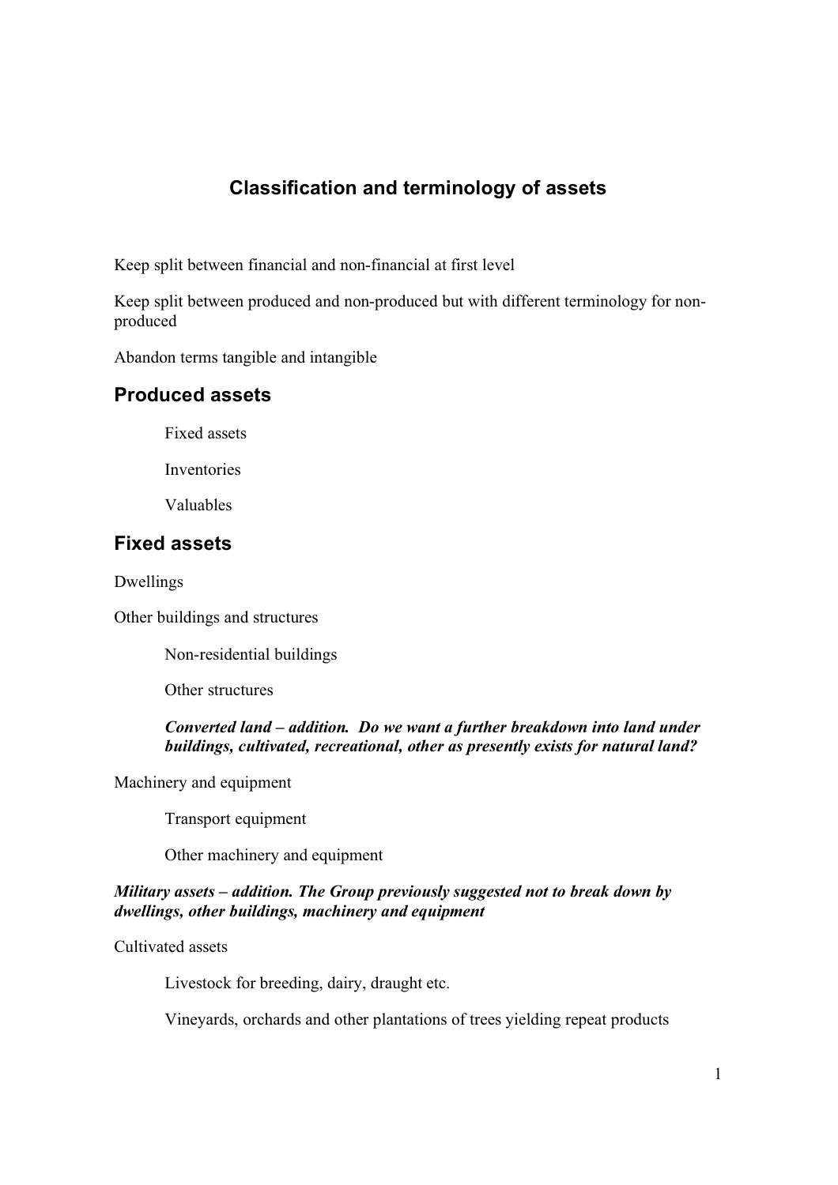# **Classification and terminology of assets**

Keep split between financial and non-financial at first level

Keep split between produced and non-produced but with different terminology for nonproduced

Abandon terms tangible and intangible

## **Produced assets**

Fixed assets

Inventories

Valuables

## **Fixed assets**

Dwellings

Other buildings and structures

Non-residential buildings

Other structures

## *Converted land – addition. Do we want a further breakdown into land under buildings, cultivated, recreational, other as presently exists for natural land?*

Machinery and equipment

Transport equipment

Other machinery and equipment

## *Military assets – addition. The Group previously suggested not to break down by dwellings, other buildings, machinery and equipment*

Cultivated assets

Livestock for breeding, dairy, draught etc.

Vineyards, orchards and other plantations of trees yielding repeat products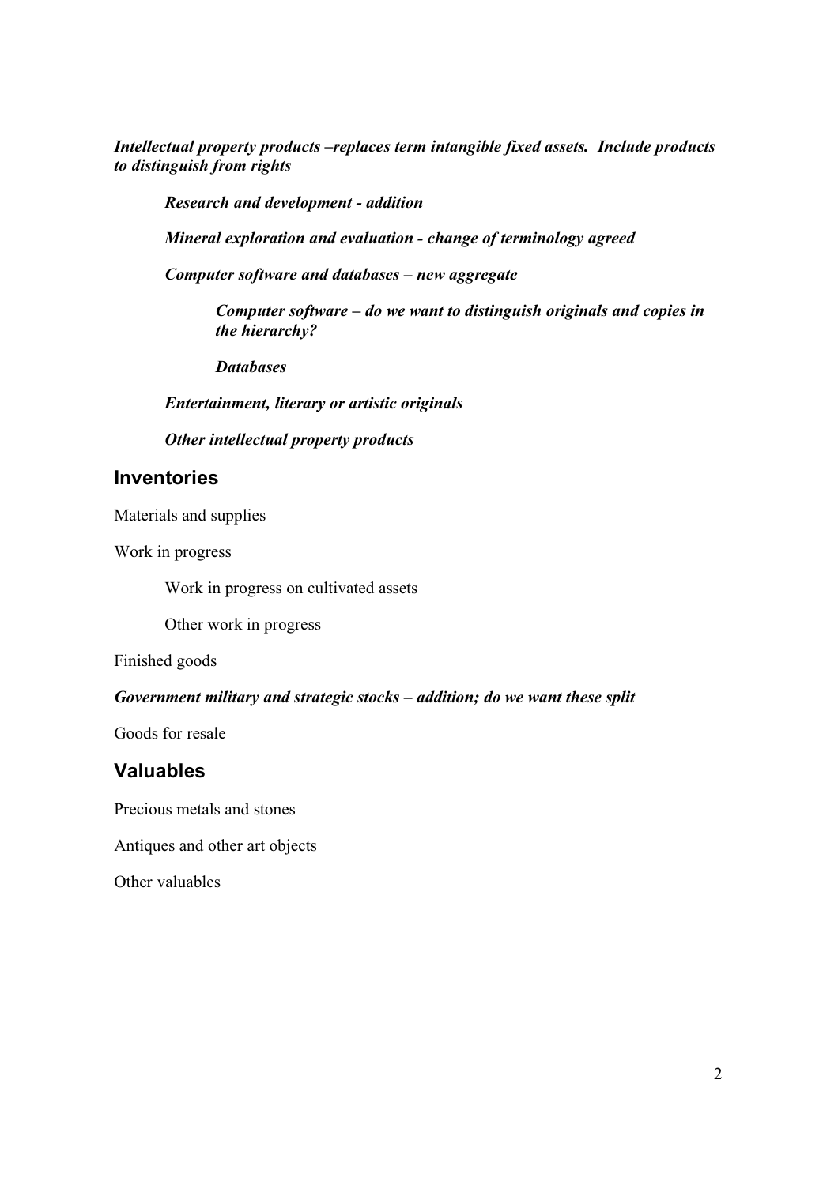*Intellectual property products –replaces term intangible fixed assets. Include products to distinguish from rights*

*Research and development - addition*

*Mineral exploration and evaluation - change of terminology agreed*

*Computer software and databases – new aggregate*

*Computer software – do we want to distinguish originals and copies in the hierarchy?*

*Databases*

*Entertainment, literary or artistic originals*

*Other intellectual property products*

## **Inventories**

Materials and supplies

Work in progress

Work in progress on cultivated assets

Other work in progress

Finished goods

### *Government military and strategic stocks – addition; do we want these split*

Goods for resale

## **Valuables**

Precious metals and stones

Antiques and other art objects

Other valuables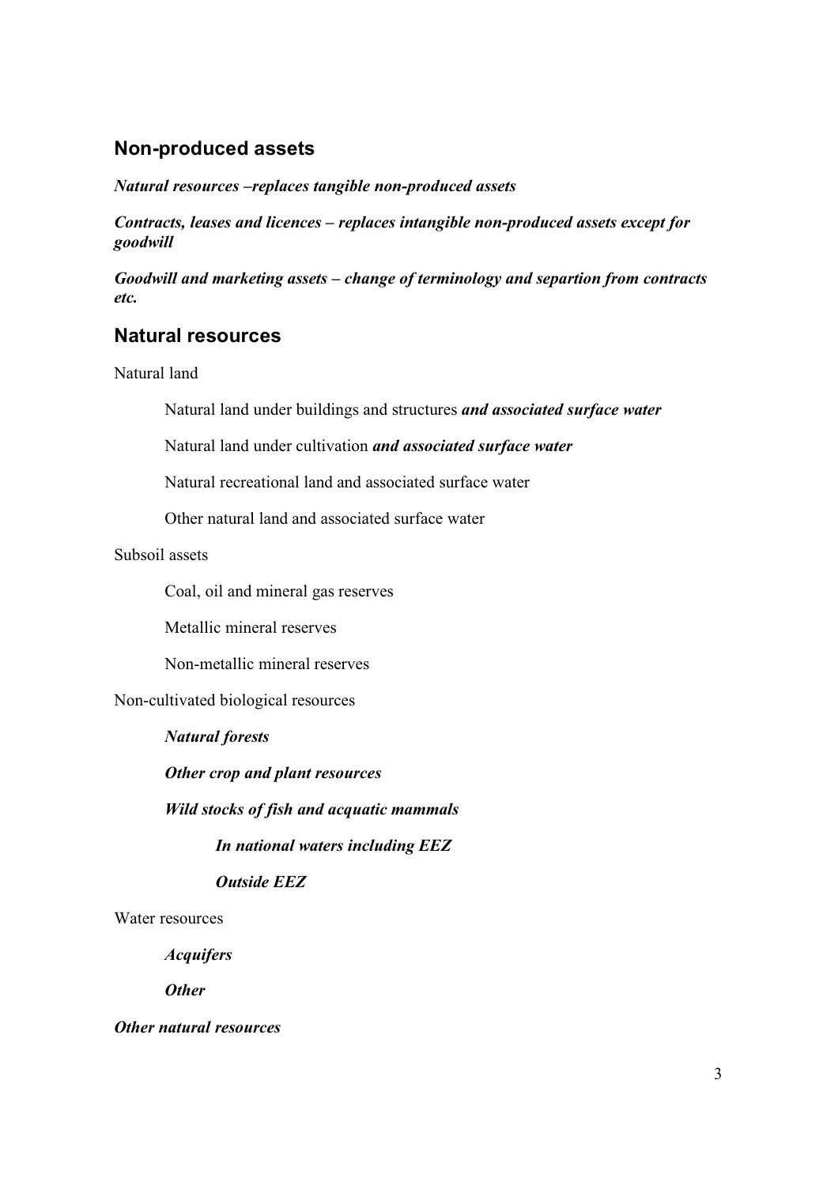# **Non-produced assets**

*Natural resources –replaces tangible non-produced assets*

*Contracts, leases and licences – replaces intangible non-produced assets except for goodwill*

*Goodwill and marketing assets – change of terminology and separtion from contracts etc.*

# **Natural resources**

Natural land

Natural land under buildings and structures *and associated surface water*

Natural land under cultivation *and associated surface water*

Natural recreational land and associated surface water

Other natural land and associated surface water

Subsoil assets

Coal, oil and mineral gas reserves

Metallic mineral reserves

Non-metallic mineral reserves

Non-cultivated biological resources

*Natural forests*

*Other crop and plant resources*

*Wild stocks of fish and acquatic mammals*

*In national waters including EEZ*

*Outside EEZ*

Water resources

*Acquifers*

*Other*

*Other natural resources*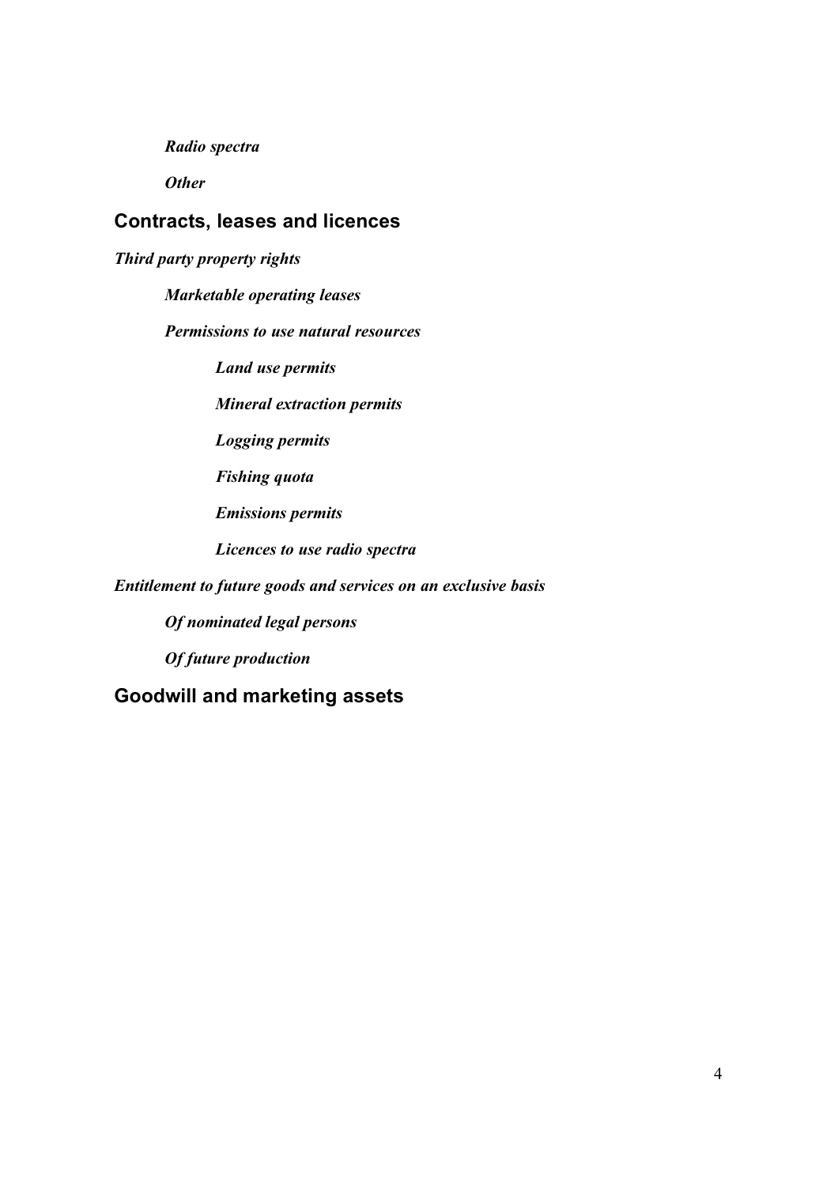*Radio spectra*

*Other*

# **Contracts, leases and licences**

*Third party property rights*

*Marketable operating leases*

*Permissions to use natural resources*

*Land use permits*

*Mineral extraction permits*

*Logging permits*

*Fishing quota*

*Emissions permits*

*Licences to use radio spectra*

*Entitlement to future goods and services on an exclusive basis*

*Of nominated legal persons*

*Of future production*

**Goodwill and marketing assets**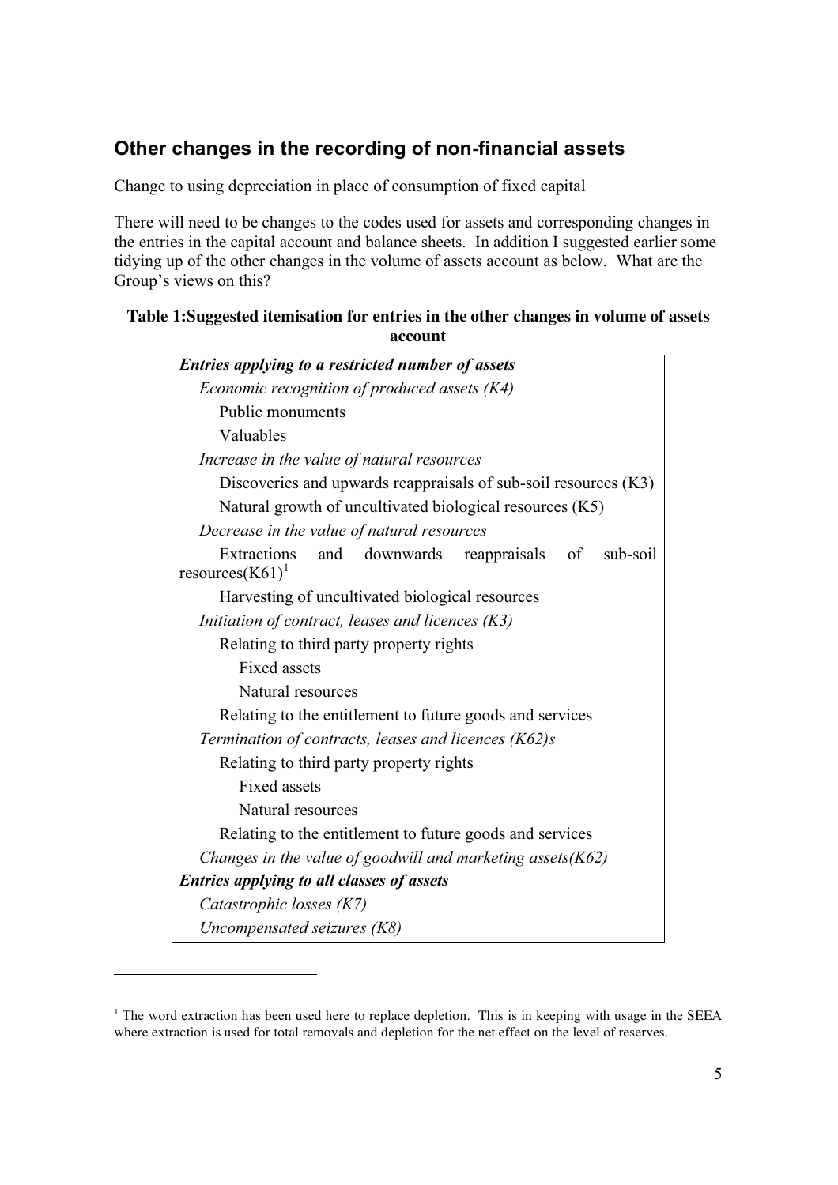# **Other changes in the recording of non-financial assets**

Change to using depreciation in place of consumption of fixed capital

There will need to be changes to the codes used for assets and corresponding changes in the entries in the capital account and balance sheets. In addition I suggested earlier some tidying up of the other changes in the volume of assets account as below. What are the Group's views on this?

## **Table 1:Suggested itemisation for entries in the other changes in volume of assets account**

| Entries applying to a restricted number of assets                                            |
|----------------------------------------------------------------------------------------------|
| Economic recognition of produced assets (K4)                                                 |
| Public monuments                                                                             |
| Valuables                                                                                    |
| Increase in the value of natural resources                                                   |
| Discoveries and upwards reappraisals of sub-soil resources (K3)                              |
| Natural growth of uncultivated biological resources (K5)                                     |
| Decrease in the value of natural resources                                                   |
| <b>Extractions</b><br>and downwards<br>reappraisals<br>sub-soil<br>of<br>resources $(K61)^1$ |
| Harvesting of uncultivated biological resources                                              |
| Initiation of contract, leases and licences $(K3)$                                           |
| Relating to third party property rights                                                      |
| <b>Fixed assets</b>                                                                          |
| Natural resources                                                                            |
| Relating to the entitlement to future goods and services                                     |
| Termination of contracts, leases and licences (K62)s                                         |
| Relating to third party property rights                                                      |
| <b>Fixed assets</b>                                                                          |
| Natural resources                                                                            |
| Relating to the entitlement to future goods and services                                     |
| Changes in the value of goodwill and marketing assets $(K62)$                                |
| <b>Entries applying to all classes of assets</b>                                             |
| Catastrophic losses (K7)                                                                     |
| Uncompensated seizures (K8)                                                                  |

 $<sup>1</sup>$  The word extraction has been used here to replace depletion. This is in keeping with usage in the SEEA</sup> where extraction is used for total removals and depletion for the net effect on the level of reserves.